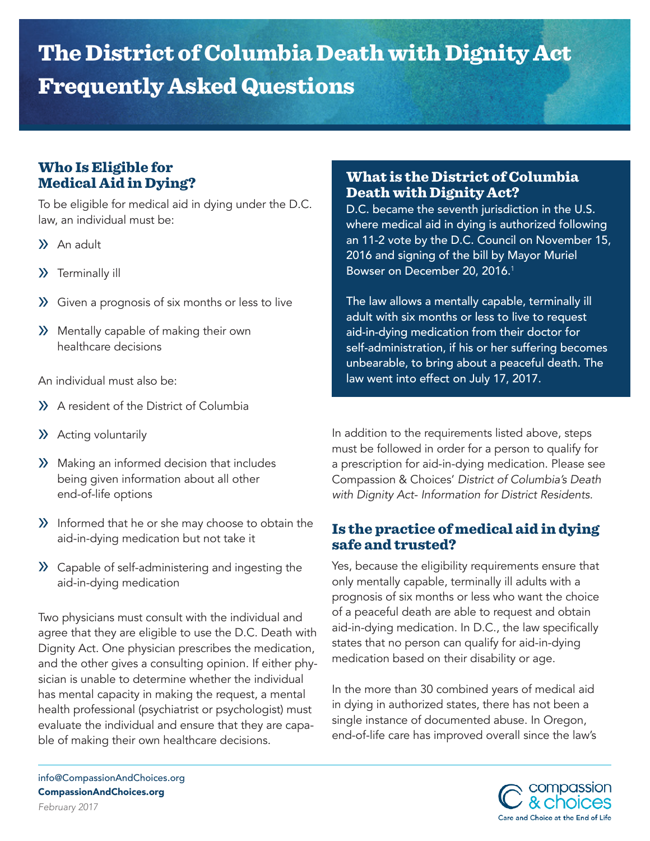# The District of Columbia Death with Dignity Act Frequently Asked Questions

# Who Is Eligible for Medical Aid in Dying?

To be eligible for medical aid in dying under the D.C. law, an individual must be:

- » An adult
- » Terminally ill
- » Given a prognosis of six months or less to live
- » Mentally capable of making their own healthcare decisions

An individual must also be:

- » A resident of the District of Columbia
- » Acting voluntarily
- » Making an informed decision that includes being given information about all other end-of-life options
- » Informed that he or she may choose to obtain the aid-in-dying medication but not take it
- » Capable of self-administering and ingesting the aid-in-dying medication

Two physicians must consult with the individual and agree that they are eligible to use the D.C. Death with Dignity Act. One physician prescribes the medication, and the other gives a consulting opinion. If either physician is unable to determine whether the individual has mental capacity in making the request, a mental health professional (psychiatrist or psychologist) must evaluate the individual and ensure that they are capable of making their own healthcare decisions.

## What is the District of Columbia Death with Dignity Act?

D.C. became the seventh jurisdiction in the U.S. where medical aid in dying is authorized following an 11-2 vote by the D.C. Council on November 15, 2016 and signing of the bill by Mayor Muriel Bowser on December 20, 2016.<sup>1</sup>

The law allows a mentally capable, terminally ill adult with six months or less to live to request aid-in-dying medication from their doctor for self-administration, if his or her suffering becomes unbearable, to bring about a peaceful death. The law went into effect on July 17, 2017.

In addition to the requirements listed above, steps must be followed in order for a person to qualify for a prescription for aid-in-dying medication. Please see Compassion & Choices' *District of Columbia's Death with Dignity Act- Information for District Residents.*

# Is the practice of medical aid in dying safe and trusted?

Yes, because the eligibility requirements ensure that only mentally capable, terminally ill adults with a prognosis of six months or less who want the choice of a peaceful death are able to request and obtain aid-in-dying medication. In D.C., the law specifically states that no person can qualify for aid-in-dying medication based on their disability or age.

In the more than 30 combined years of medical aid in dying in authorized states, there has not been a single instance of documented abuse. In Oregon, end-of-life care has improved overall since the law's

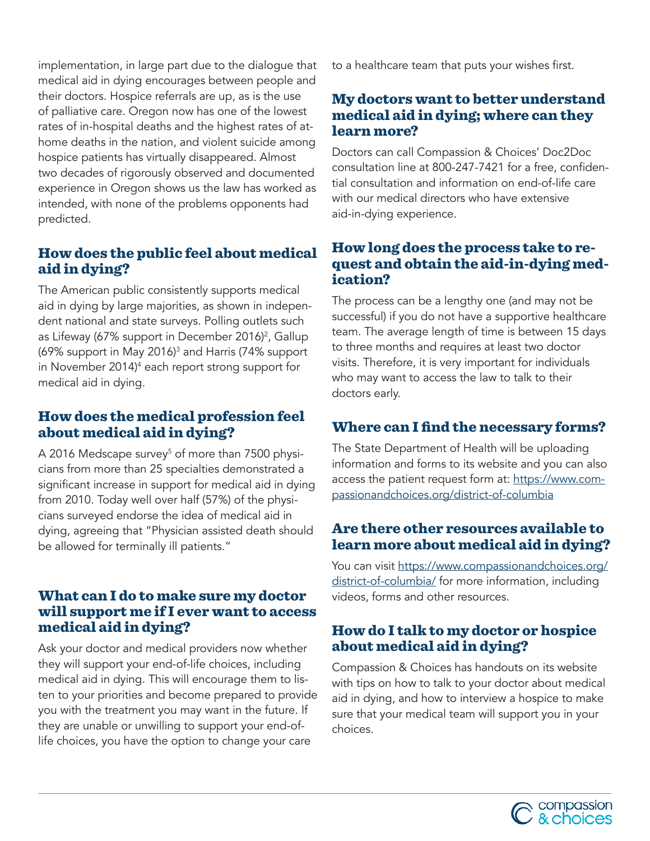implementation, in large part due to the dialogue that medical aid in dying encourages between people and their doctors. Hospice referrals are up, as is the use of palliative care. Oregon now has one of the lowest rates of in-hospital deaths and the highest rates of athome deaths in the nation, and violent suicide among hospice patients has virtually disappeared. Almost two decades of rigorously observed and documented experience in Oregon shows us the law has worked as intended, with none of the problems opponents had predicted.

## How does the public feel about medical aid in dying?

The American public consistently supports medical aid in dying by large majorities, as shown in independent national and state surveys. Polling outlets such as Lifeway (67% support in December 2016)<sup>2</sup>, Gallup (69% support in May 2016)3 and Harris (74% support in November 2014)4 each report strong support for medical aid in dying.

## How does the medical profession feel about medical aid in dying?

A 2016 Medscape survey<sup>5</sup> of more than 7500 physicians from more than 25 specialties demonstrated a significant increase in support for medical aid in dying from 2010. Today well over half (57%) of the physicians surveyed endorse the idea of medical aid in dying, agreeing that "Physician assisted death should be allowed for terminally ill patients."

#### What can I do to make sure my doctor will support me if I ever want to access medical aid in dying?

Ask your doctor and medical providers now whether they will support your end-of-life choices, including medical aid in dying. This will encourage them to listen to your priorities and become prepared to provide you with the treatment you may want in the future. If they are unable or unwilling to support your end-oflife choices, you have the option to change your care

to a healthcare team that puts your wishes first.

## My doctors want to better understand medical aid in dying; where can they learn more?

Doctors can call Compassion & Choices' Doc2Doc consultation line at 800-247-7421 for a free, confidential consultation and information on end-of-life care with our medical directors who have extensive aid-in-dying experience.

## How long does the process take to request and obtain the aid-in-dying medication?

The process can be a lengthy one (and may not be successful) if you do not have a supportive healthcare team. The average length of time is between 15 days to three months and requires at least two doctor visits. Therefore, it is very important for individuals who may want to access the law to talk to their doctors early.

# Where can I find the necessary forms?

The State Department of Health will be uploading information and forms to its website and you can also access the patient request form at: [https://www.com](https://www.compassionandchoices.org/district-of-columbia)[passionandchoices.org/district-of-columbia](https://www.compassionandchoices.org/district-of-columbia)

#### Are there other resources available to learn more about medical aid in dying?

You can visit [https://www.compassionandchoices.org/](https://www.compassionandchoices.org/district-of-columbia/) [district-of-columbia/](https://www.compassionandchoices.org/district-of-columbia/) for more information, including videos, forms and other resources.

## How do I talk to my doctor or hospice about medical aid in dying?

Compassion & Choices has handouts on its website with tips on how to talk to your doctor about medical aid in dying, and how to interview a hospice to make sure that your medical team will support you in your choices.